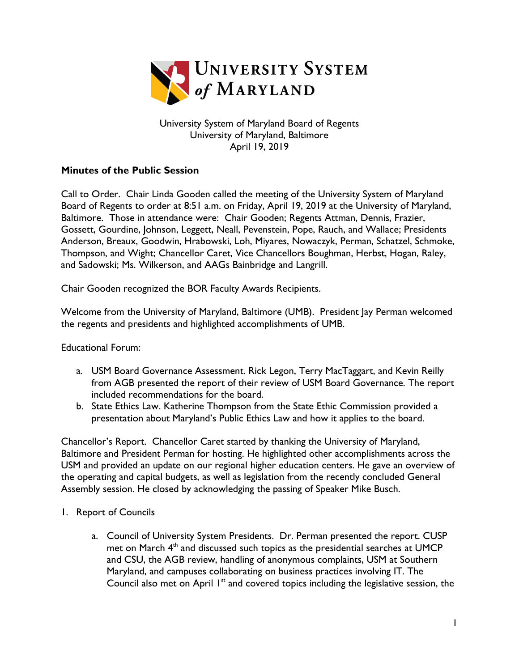

University System of Maryland Board of Regents University of Maryland, Baltimore April 19, 2019

## **Minutes of the Public Session**

Call to Order. Chair Linda Gooden called the meeting of the University System of Maryland Board of Regents to order at 8:51 a.m. on Friday, April 19, 2019 at the University of Maryland, Baltimore. Those in attendance were: Chair Gooden; Regents Attman, Dennis, Frazier, Gossett, Gourdine, Johnson, Leggett, Neall, Pevenstein, Pope, Rauch, and Wallace; Presidents Anderson, Breaux, Goodwin, Hrabowski, Loh, Miyares, Nowaczyk, Perman, Schatzel, Schmoke, Thompson, and Wight; Chancellor Caret, Vice Chancellors Boughman, Herbst, Hogan, Raley, and Sadowski; Ms. Wilkerson, and AAGs Bainbridge and Langrill.

Chair Gooden recognized the BOR Faculty Awards Recipients.

Welcome from the University of Maryland, Baltimore (UMB). President Jay Perman welcomed the regents and presidents and highlighted accomplishments of UMB.

Educational Forum:

- a. USM Board Governance Assessment. Rick Legon, Terry MacTaggart, and Kevin Reilly from AGB presented the report of their review of USM Board Governance. The report included recommendations for the board.
- b. State Ethics Law. Katherine Thompson from the State Ethic Commission provided a presentation about Maryland's Public Ethics Law and how it applies to the board.

Chancellor's Report. Chancellor Caret started by thanking the University of Maryland, Baltimore and President Perman for hosting. He highlighted other accomplishments across the USM and provided an update on our regional higher education centers. He gave an overview of the operating and capital budgets, as well as legislation from the recently concluded General Assembly session. He closed by acknowledging the passing of Speaker Mike Busch.

- 1. Report of Councils
	- a. Council of University System Presidents. Dr. Perman presented the report. CUSP met on March  $4<sup>th</sup>$  and discussed such topics as the presidential searches at UMCP and CSU, the AGB review, handling of anonymous complaints, USM at Southern Maryland, and campuses collaborating on business practices involving IT. The Council also met on April  $I<sup>st</sup>$  and covered topics including the legislative session, the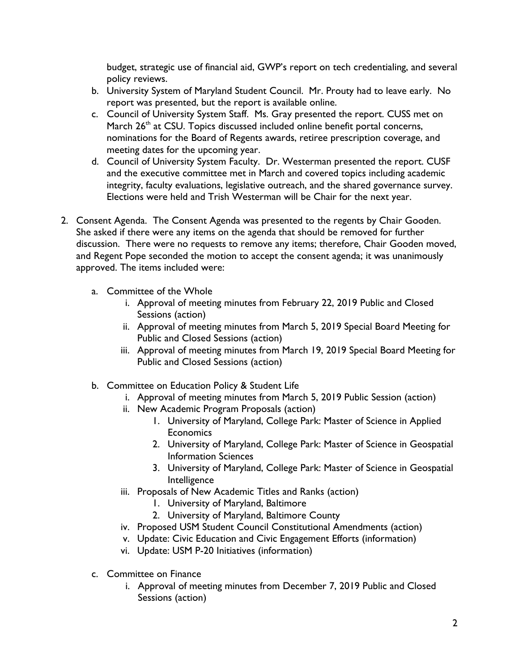budget, strategic use of financial aid, GWP's report on tech credentialing, and several policy reviews.

- b. University System of Maryland Student Council. Mr. Prouty had to leave early. No report was presented, but the report is available online.
- c. Council of University System Staff. Ms. Gray presented the report. CUSS met on March  $26<sup>th</sup>$  at CSU. Topics discussed included online benefit portal concerns, nominations for the Board of Regents awards, retiree prescription coverage, and meeting dates for the upcoming year.
- d. Council of University System Faculty. Dr. Westerman presented the report. CUSF and the executive committee met in March and covered topics including academic integrity, faculty evaluations, legislative outreach, and the shared governance survey. Elections were held and Trish Westerman will be Chair for the next year.
- 2. Consent Agenda. The Consent Agenda was presented to the regents by Chair Gooden. She asked if there were any items on the agenda that should be removed for further discussion. There were no requests to remove any items; therefore, Chair Gooden moved, and Regent Pope seconded the motion to accept the consent agenda; it was unanimously approved. The items included were:
	- a. Committee of the Whole
		- i. Approval of meeting minutes from February 22, 2019 Public and Closed Sessions (action)
		- ii. Approval of meeting minutes from March 5, 2019 Special Board Meeting for Public and Closed Sessions (action)
		- iii. Approval of meeting minutes from March 19, 2019 Special Board Meeting for Public and Closed Sessions (action)
	- b. Committee on Education Policy & Student Life
		- i. Approval of meeting minutes from March 5, 2019 Public Session (action)
		- ii. New Academic Program Proposals (action)
			- 1. University of Maryland, College Park: Master of Science in Applied **Economics**
			- 2. University of Maryland, College Park: Master of Science in Geospatial Information Sciences
			- 3. University of Maryland, College Park: Master of Science in Geospatial Intelligence
		- iii. Proposals of New Academic Titles and Ranks (action)
			- 1. University of Maryland, Baltimore
			- 2. University of Maryland, Baltimore County
		- iv. Proposed USM Student Council Constitutional Amendments (action)
		- v. Update: Civic Education and Civic Engagement Efforts (information)
		- vi. Update: USM P-20 Initiatives (information)
	- c. Committee on Finance
		- i. Approval of meeting minutes from December 7, 2019 Public and Closed Sessions (action)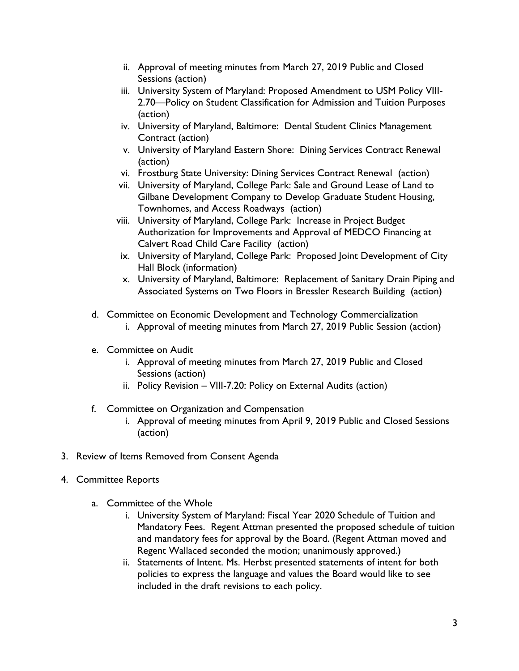- ii. Approval of meeting minutes from March 27, 2019 Public and Closed Sessions (action)
- iii. University System of Maryland: Proposed Amendment to USM Policy VIII-2.70—Policy on Student Classification for Admission and Tuition Purposes (action)
- iv. University of Maryland, Baltimore: Dental Student Clinics Management Contract (action)
- v. University of Maryland Eastern Shore: Dining Services Contract Renewal (action)
- vi. Frostburg State University: Dining Services Contract Renewal (action)
- vii. University of Maryland, College Park: Sale and Ground Lease of Land to Gilbane Development Company to Develop Graduate Student Housing, Townhomes, and Access Roadways (action)
- viii. University of Maryland, College Park: Increase in Project Budget Authorization for Improvements and Approval of MEDCO Financing at Calvert Road Child Care Facility (action)
- ix. University of Maryland, College Park: Proposed Joint Development of City Hall Block (information)
- x. University of Maryland, Baltimore: Replacement of Sanitary Drain Piping and Associated Systems on Two Floors in Bressler Research Building (action)
- d. Committee on Economic Development and Technology Commercialization
	- i. Approval of meeting minutes from March 27, 2019 Public Session (action)
- e. Committee on Audit
	- i. Approval of meeting minutes from March 27, 2019 Public and Closed Sessions (action)
	- ii. Policy Revision VIII-7.20: Policy on External Audits (action)
- f. Committee on Organization and Compensation
	- i. Approval of meeting minutes from April 9, 2019 Public and Closed Sessions (action)
- 3. Review of Items Removed from Consent Agenda
- 4. Committee Reports
	- a. Committee of the Whole
		- i. University System of Maryland: Fiscal Year 2020 Schedule of Tuition and Mandatory Fees. Regent Attman presented the proposed schedule of tuition and mandatory fees for approval by the Board. (Regent Attman moved and Regent Wallaced seconded the motion; unanimously approved.)
		- ii. Statements of Intent. Ms. Herbst presented statements of intent for both policies to express the language and values the Board would like to see included in the draft revisions to each policy.